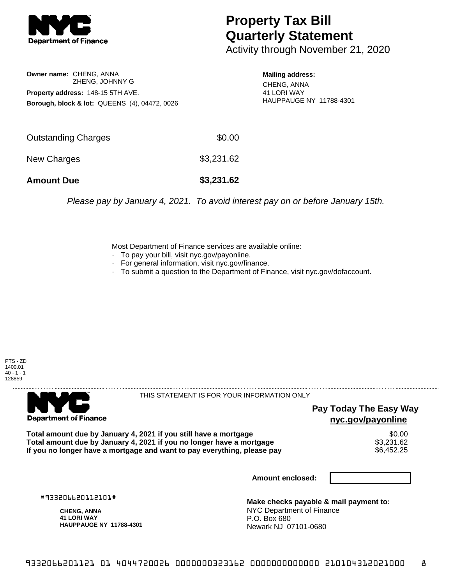

## **Property Tax Bill Quarterly Statement**

Activity through November 21, 2020

**Owner name:** CHENG, ANNA ZHENG, JOHNNY G **Property address:** 148-15 5TH AVE. **Borough, block & lot:** QUEENS (4), 04472, 0026

**Mailing address:** CHENG, ANNA 41 LORI WAY HAUPPAUGE NY 11788-4301

| Outstanding Charges | \$0.00     |
|---------------------|------------|
| New Charges         | \$3,231.62 |
| <b>Amount Due</b>   | \$3,231.62 |

Please pay by January 4, 2021. To avoid interest pay on or before January 15th.

Most Department of Finance services are available online:

- · To pay your bill, visit nyc.gov/payonline.
- For general information, visit nyc.gov/finance.
- · To submit a question to the Department of Finance, visit nyc.gov/dofaccount.





THIS STATEMENT IS FOR YOUR INFORMATION ONLY

## **Pay Today The Easy Way nyc.gov/payonline**

Total amount due by January 4, 2021 if you still have a mortgage \$0.00<br>Total amount due by January 4, 2021 if you no longer have a mortgage \$3.231.62 **Total amount due by January 4, 2021 if you no longer have a mortgage**  $$3,231.62$$ **<br>If you no longer have a mortgage and want to pay everything, please pay**  $\$6,452.25$ If you no longer have a mortgage and want to pay everything, please pay

**Amount enclosed:**

#933206620112101#

**CHENG, ANNA 41 LORI WAY HAUPPAUGE NY 11788-4301**

**Make checks payable & mail payment to:** NYC Department of Finance P.O. Box 680 Newark NJ 07101-0680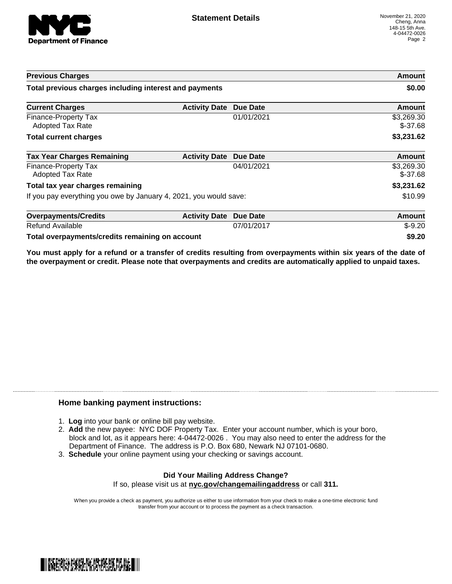

| <b>Previous Charges</b><br>Total previous charges including interest and payments |                      |                 | Amount<br>\$0.00        |
|-----------------------------------------------------------------------------------|----------------------|-----------------|-------------------------|
|                                                                                   |                      |                 |                         |
| Finance-Property Tax<br><b>Adopted Tax Rate</b>                                   |                      | 01/01/2021      | \$3,269.30<br>$$-37.68$ |
| <b>Total current charges</b>                                                      |                      |                 | \$3,231.62              |
| <b>Tax Year Charges Remaining</b>                                                 | <b>Activity Date</b> | Due Date        | <b>Amount</b>           |
| Finance-Property Tax<br><b>Adopted Tax Rate</b>                                   |                      | 04/01/2021      | \$3,269.30<br>$$-37.68$ |
| Total tax year charges remaining                                                  |                      |                 | \$3,231.62              |
| If you pay everything you owe by January 4, 2021, you would save:                 |                      | \$10.99         |                         |
| <b>Overpayments/Credits</b>                                                       | <b>Activity Date</b> | <b>Due Date</b> | Amount                  |
| Refund Available                                                                  |                      | 07/01/2017      | $$-9.20$                |
| Total overpayments/credits remaining on account                                   |                      | \$9.20          |                         |

You must apply for a refund or a transfer of credits resulting from overpayments within six years of the date of **the overpayment or credit. Please note that overpayments and credits are automatically applied to unpaid taxes.**

## **Home banking payment instructions:**

- 1. **Log** into your bank or online bill pay website.
- 2. **Add** the new payee: NYC DOF Property Tax. Enter your account number, which is your boro, block and lot, as it appears here: 4-04472-0026 . You may also need to enter the address for the Department of Finance. The address is P.O. Box 680, Newark NJ 07101-0680.
- 3. **Schedule** your online payment using your checking or savings account.

## **Did Your Mailing Address Change?** If so, please visit us at **nyc.gov/changemailingaddress** or call **311.**

When you provide a check as payment, you authorize us either to use information from your check to make a one-time electronic fund transfer from your account or to process the payment as a check transaction.